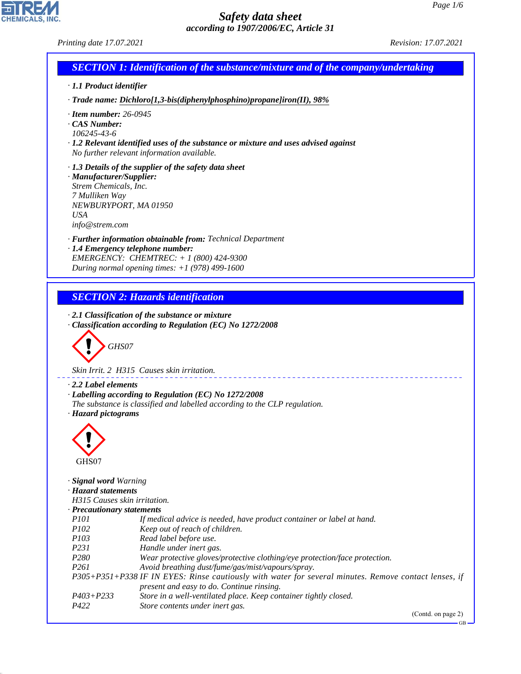*Printing date 17.07.2021 Revision: 17.07.2021*

CHEMICALS, INC.

44.1.1

|                                                                                                                              | <b>SECTION 1: Identification of the substance/mixture and of the company/undertaking</b>                                                           |
|------------------------------------------------------------------------------------------------------------------------------|----------------------------------------------------------------------------------------------------------------------------------------------------|
| $\cdot$ 1.1 Product identifier                                                                                               |                                                                                                                                                    |
|                                                                                                                              | $\cdot$ Trade name: Dichloro[1,3-bis(diphenylphosphino)propane]iron(II), 98%                                                                       |
| $\cdot$ Item number: 26-0945<br>CAS Number:<br>106245-43-6                                                                   | $\cdot$ 1.2 Relevant identified uses of the substance or mixture and uses advised against<br>No further relevant information available.            |
| · Manufacturer/Supplier:<br>Strem Chemicals, Inc.<br>7 Mulliken Way<br>NEWBURYPORT, MA 01950<br><b>USA</b><br>info@strem.com | $\cdot$ 1.3 Details of the supplier of the safety data sheet                                                                                       |
|                                                                                                                              | · Further information obtainable from: Technical Department                                                                                        |
|                                                                                                                              | · 1.4 Emergency telephone number:                                                                                                                  |
|                                                                                                                              | EMERGENCY: CHEMTREC: $+ 1 (800) 424 - 9300$<br>During normal opening times: $+1$ (978) 499-1600                                                    |
|                                                                                                                              |                                                                                                                                                    |
|                                                                                                                              |                                                                                                                                                    |
|                                                                                                                              | <b>SECTION 2: Hazards identification</b>                                                                                                           |
| GHS07                                                                                                                        | Skin Irrit. 2 H315 Causes skin irritation.                                                                                                         |
|                                                                                                                              |                                                                                                                                                    |
| $\cdot$ 2.2 Label elements<br>· Hazard pictograms                                                                            | · Labelling according to Regulation (EC) No 1272/2008<br>The substance is classified and labelled according to the CLP regulation.                 |
| GHS07                                                                                                                        |                                                                                                                                                    |
| · Signal word Warning<br>· Hazard statements                                                                                 |                                                                                                                                                    |
| H315 Causes skin irritation.                                                                                                 |                                                                                                                                                    |
| · Precautionary statements                                                                                                   |                                                                                                                                                    |
| <i>P101</i><br>P102                                                                                                          | If medical advice is needed, have product container or label at hand.                                                                              |
| P103                                                                                                                         | Keep out of reach of children.<br>Read label before use.                                                                                           |
| P231                                                                                                                         | Handle under inert gas.                                                                                                                            |
| P <sub>280</sub>                                                                                                             | Wear protective gloves/protective clothing/eye protection/face protection.                                                                         |
| P <sub>261</sub>                                                                                                             | Avoid breathing dust/fume/gas/mist/vapours/spray.                                                                                                  |
|                                                                                                                              | P305+P351+P338 IF IN EYES: Rinse cautiously with water for several minutes. Remove contact lenses, if<br>present and easy to do. Continue rinsing. |
| $P403 + P233$                                                                                                                | Store in a well-ventilated place. Keep container tightly closed.                                                                                   |
| P422                                                                                                                         | Store contents under inert gas.<br>(Contd. on page 2)                                                                                              |

GB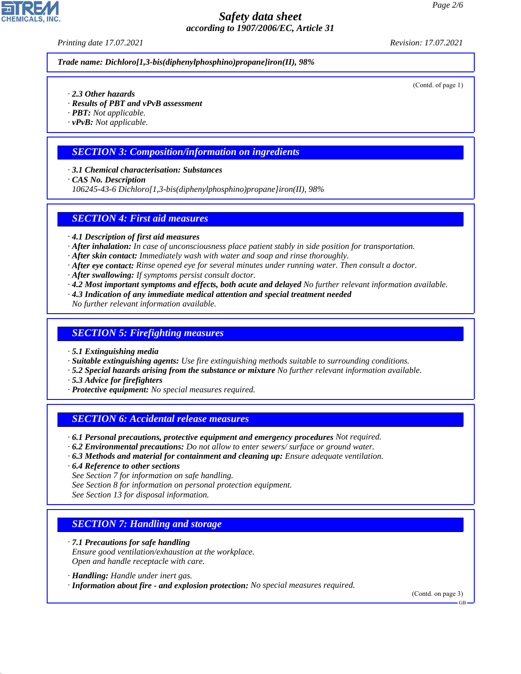*Printing date 17.07.2021 Revision: 17.07.2021*

*Trade name: Dichloro[1,3-bis(diphenylphosphino)propane]iron(II), 98%*

(Contd. of page 1)

- *· 2.3 Other hazards*
- *· Results of PBT and vPvB assessment*
- *· PBT: Not applicable.*
- *· vPvB: Not applicable.*

#### *SECTION 3: Composition/information on ingredients*

- *· 3.1 Chemical characterisation: Substances*
- *· CAS No. Description*
- *106245-43-6 Dichloro[1,3-bis(diphenylphosphino)propane]iron(II), 98%*

#### *SECTION 4: First aid measures*

- *· 4.1 Description of first aid measures*
- *· After inhalation: In case of unconsciousness place patient stably in side position for transportation.*
- *· After skin contact: Immediately wash with water and soap and rinse thoroughly.*
- *· After eye contact: Rinse opened eye for several minutes under running water. Then consult a doctor.*
- *· After swallowing: If symptoms persist consult doctor.*
- *· 4.2 Most important symptoms and effects, both acute and delayed No further relevant information available.*
- *· 4.3 Indication of any immediate medical attention and special treatment needed No further relevant information available.*

#### *SECTION 5: Firefighting measures*

- *· 5.1 Extinguishing media*
- *· Suitable extinguishing agents: Use fire extinguishing methods suitable to surrounding conditions.*
- *· 5.2 Special hazards arising from the substance or mixture No further relevant information available.*
- *· 5.3 Advice for firefighters*
- *· Protective equipment: No special measures required.*

#### *SECTION 6: Accidental release measures*

- *· 6.1 Personal precautions, protective equipment and emergency procedures Not required.*
- *· 6.2 Environmental precautions: Do not allow to enter sewers/ surface or ground water.*
- *· 6.3 Methods and material for containment and cleaning up: Ensure adequate ventilation.*
- *· 6.4 Reference to other sections*
- *See Section 7 for information on safe handling.*
- *See Section 8 for information on personal protection equipment.*
- *See Section 13 for disposal information.*

# *SECTION 7: Handling and storage*

- *· 7.1 Precautions for safe handling Ensure good ventilation/exhaustion at the workplace. Open and handle receptacle with care.*
- *· Handling: Handle under inert gas.*

44.1.1

*· Information about fire - and explosion protection: No special measures required.*

(Contd. on page 3)

GB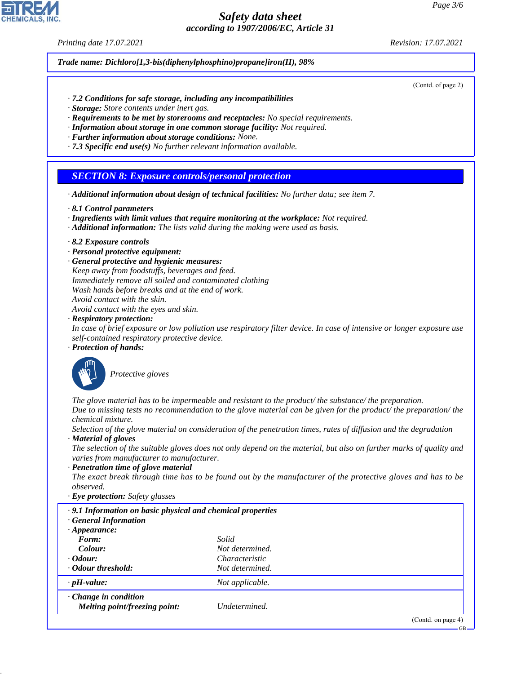*Printing date 17.07.2021 Revision: 17.07.2021*

*Trade name: Dichloro[1,3-bis(diphenylphosphino)propane]iron(II), 98%*

(Contd. of page 2)

- *· 7.2 Conditions for safe storage, including any incompatibilities*
- *· Storage: Store contents under inert gas.*
- *· Requirements to be met by storerooms and receptacles: No special requirements.*
- *· Information about storage in one common storage facility: Not required.*
- *· Further information about storage conditions: None.*
- *· 7.3 Specific end use(s) No further relevant information available.*

#### *SECTION 8: Exposure controls/personal protection*

- *· Additional information about design of technical facilities: No further data; see item 7.*
- *· 8.1 Control parameters*
- *· Ingredients with limit values that require monitoring at the workplace: Not required.*
- *· Additional information: The lists valid during the making were used as basis.*
- *· 8.2 Exposure controls*
- *· Personal protective equipment:*
- *· General protective and hygienic measures:*
- *Keep away from foodstuffs, beverages and feed. Immediately remove all soiled and contaminated clothing*
- *Wash hands before breaks and at the end of work.*
- *Avoid contact with the skin.*
- *Avoid contact with the eyes and skin.*
- *· Respiratory protection:*

*In case of brief exposure or low pollution use respiratory filter device. In case of intensive or longer exposure use self-contained respiratory protective device.*

*· Protection of hands:*



44.1.1

\_S*Protective gloves*

*The glove material has to be impermeable and resistant to the product/ the substance/ the preparation. Due to missing tests no recommendation to the glove material can be given for the product/ the preparation/ the chemical mixture.*

*Selection of the glove material on consideration of the penetration times, rates of diffusion and the degradation*

*· Material of gloves*

*The selection of the suitable gloves does not only depend on the material, but also on further marks of quality and varies from manufacturer to manufacturer.*

*· Penetration time of glove material*

*The exact break through time has to be found out by the manufacturer of the protective gloves and has to be observed.*

*· Eye protection: Safety glasses*

| .9.1 Information on basic physical and chemical properties<br>· General Information |                       |                    |
|-------------------------------------------------------------------------------------|-----------------------|--------------------|
| $\cdot$ Appearance:                                                                 |                       |                    |
| Form:                                                                               | Solid                 |                    |
| Colour:                                                                             | Not determined.       |                    |
| $\cdot$ Odour:                                                                      | <i>Characteristic</i> |                    |
| Odour threshold:                                                                    | Not determined.       |                    |
| $\cdot$ pH-value:                                                                   | Not applicable.       |                    |
| $\cdot$ Change in condition<br>Melting point/freezing point:                        | Undetermined.         |                    |
|                                                                                     |                       | (Contd. on page 4) |

GB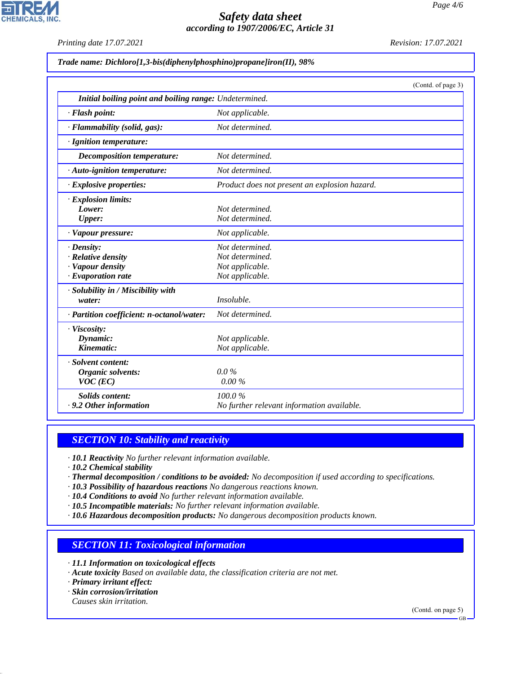*Printing date 17.07.2021 Revision: 17.07.2021*

**CHEMICALS, INC.** 

*Trade name: Dichloro[1,3-bis(diphenylphosphino)propane]iron(II), 98%*

|                                                        | (Contd. of page 3)                            |
|--------------------------------------------------------|-----------------------------------------------|
| Initial boiling point and boiling range: Undetermined. |                                               |
| · Flash point:                                         | Not applicable.                               |
| · Flammability (solid, gas):                           | Not determined.                               |
| · Ignition temperature:                                |                                               |
| Decomposition temperature:                             | Not determined.                               |
| $\cdot$ Auto-ignition temperature:                     | Not determined.                               |
| · Explosive properties:                                | Product does not present an explosion hazard. |
| · Explosion limits:                                    |                                               |
| Lower:                                                 | Not determined.                               |
| <b>Upper:</b>                                          | Not determined.                               |
| · Vapour pressure:                                     | Not applicable.                               |
| $\cdot$ Density:                                       | Not determined.                               |
| $\cdot$ Relative density                               | Not determined.                               |
| · Vapour density                                       | Not applicable.                               |
| $\cdot$ Evaporation rate                               | Not applicable.                               |
| · Solubility in / Miscibility with                     |                                               |
| water:                                                 | <i>Insoluble.</i>                             |
| · Partition coefficient: n-octanol/water:              | Not determined.                               |
| · Viscosity:                                           |                                               |
| Dynamic:                                               | Not applicable.                               |
| Kinematic:                                             | Not applicable.                               |
| · Solvent content:                                     |                                               |
| Organic solvents:                                      | $0.0\%$                                       |
| $VOC$ (EC)                                             | $0.00\%$                                      |
| Solids content:                                        | 100.0%                                        |
| . 9.2 Other information                                | No further relevant information available.    |

# *SECTION 10: Stability and reactivity*

*· 10.1 Reactivity No further relevant information available.*

*· 10.2 Chemical stability*

*· Thermal decomposition / conditions to be avoided: No decomposition if used according to specifications.*

*· 10.3 Possibility of hazardous reactions No dangerous reactions known.*

*· 10.4 Conditions to avoid No further relevant information available.*

*· 10.5 Incompatible materials: No further relevant information available.*

*· 10.6 Hazardous decomposition products: No dangerous decomposition products known.*

# *SECTION 11: Toxicological information*

*· 11.1 Information on toxicological effects*

*· Acute toxicity Based on available data, the classification criteria are not met.*

*· Primary irritant effect:*

*· Skin corrosion/irritation*

*Causes skin irritation.*

44.1.1

(Contd. on page 5)

GB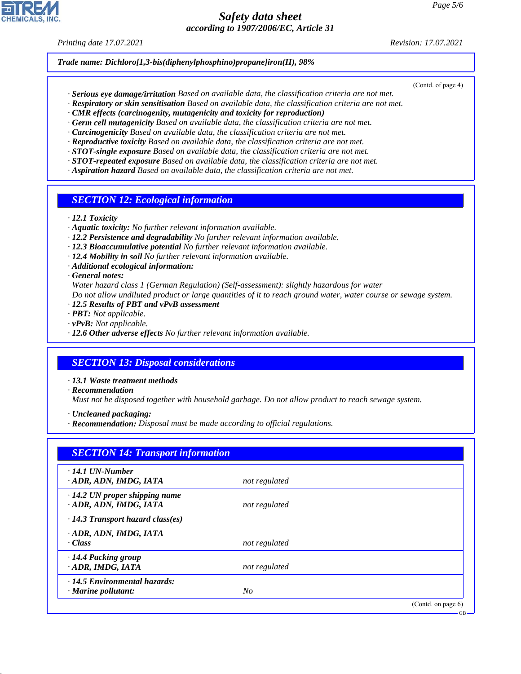*Printing date 17.07.2021 Revision: 17.07.2021*

*Trade name: Dichloro[1,3-bis(diphenylphosphino)propane]iron(II), 98%*

- (Contd. of page 4)
- *· Serious eye damage/irritation Based on available data, the classification criteria are not met. · Respiratory or skin sensitisation Based on available data, the classification criteria are not met.*
- *· CMR effects (carcinogenity, mutagenicity and toxicity for reproduction)*
- *· Germ cell mutagenicity Based on available data, the classification criteria are not met.*
- *· Carcinogenicity Based on available data, the classification criteria are not met.*
- *· Reproductive toxicity Based on available data, the classification criteria are not met.*
- *· STOT-single exposure Based on available data, the classification criteria are not met.*
- *· STOT-repeated exposure Based on available data, the classification criteria are not met.*
- *· Aspiration hazard Based on available data, the classification criteria are not met.*

#### *SECTION 12: Ecological information*

*· 12.1 Toxicity*

- *· Aquatic toxicity: No further relevant information available.*
- *· 12.2 Persistence and degradability No further relevant information available.*
- *· 12.3 Bioaccumulative potential No further relevant information available.*
- *· 12.4 Mobility in soil No further relevant information available.*
- *· Additional ecological information:*
- *· General notes:*

*Water hazard class 1 (German Regulation) (Self-assessment): slightly hazardous for water*

*Do not allow undiluted product or large quantities of it to reach ground water, water course or sewage system.*

- *· 12.5 Results of PBT and vPvB assessment*
- *· PBT: Not applicable.*
- *· vPvB: Not applicable.*
- *· 12.6 Other adverse effects No further relevant information available.*

# *SECTION 13: Disposal considerations*

- *· 13.1 Waste treatment methods*
- *· Recommendation*

44.1.1

*Must not be disposed together with household garbage. Do not allow product to reach sewage system.*

- *· Uncleaned packaging:*
- *· Recommendation: Disposal must be made according to official regulations.*

| $\cdot$ 14.1 UN-Number                  |               |  |
|-----------------------------------------|---------------|--|
| ADR, ADN, IMDG, IATA                    | not regulated |  |
| $\cdot$ 14.2 UN proper shipping name    |               |  |
| · ADR, ADN, IMDG, IATA                  | not regulated |  |
| $\cdot$ 14.3 Transport hazard class(es) |               |  |
| ADR, ADN, IMDG, IATA                    |               |  |
| · Class                                 | not regulated |  |
| $\cdot$ 14.4 Packing group              |               |  |
| · ADR, IMDG, IATA                       | not regulated |  |
| $\cdot$ 14.5 Environmental hazards:     |               |  |
| · Marine pollutant:                     | No            |  |